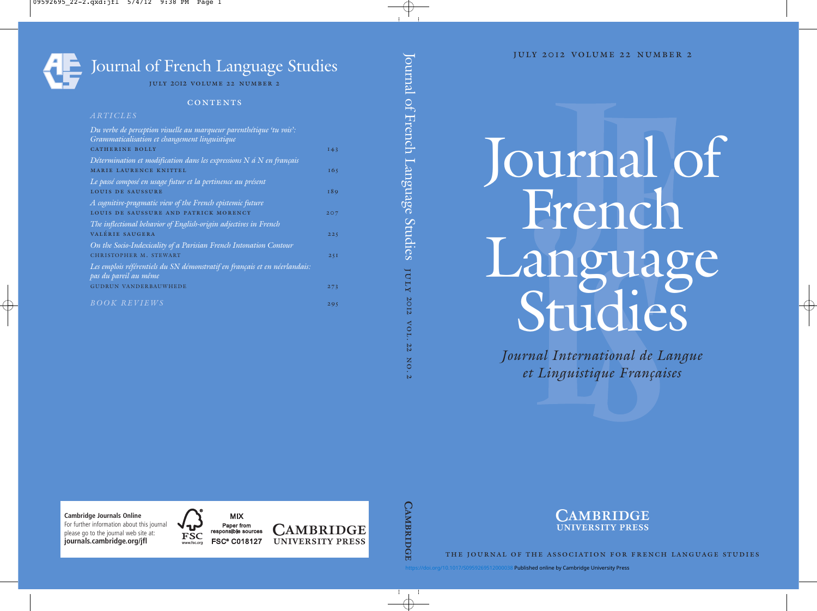## Journal of French Language Studies

Journal International de Langue et Linguistique Françaises

Journal of French Language Studies

july

2012

vol. 22

no. 2



the journal of the association for french language studies